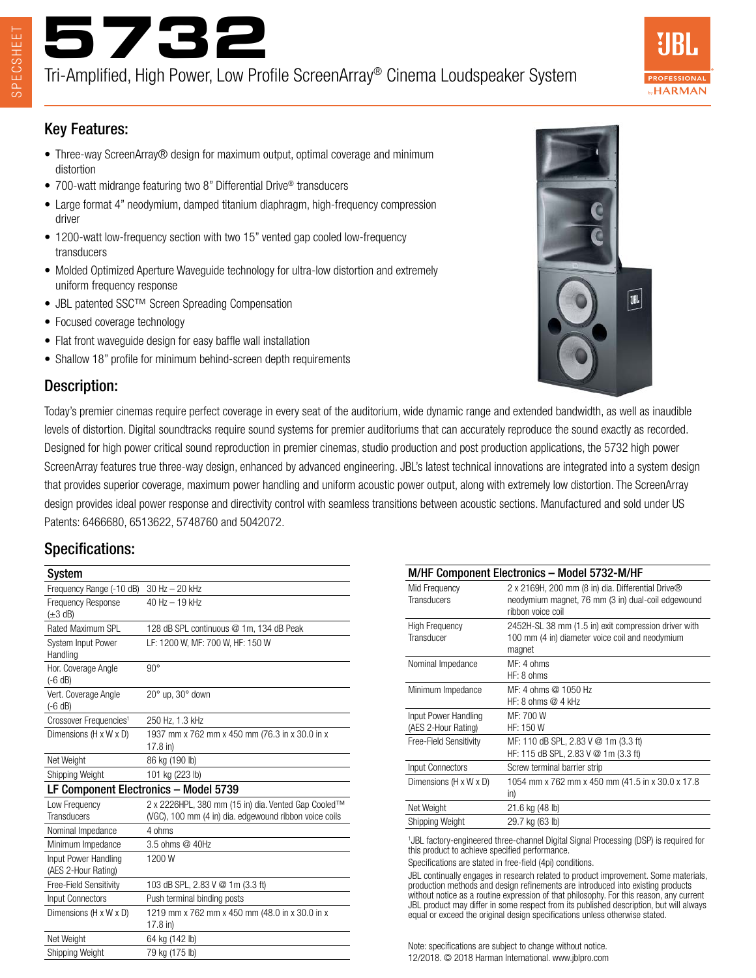

Tri-Amplified, High Power, Low Profile ScreenArray® Cinema Loudspeaker System



#### Key Features:

- Three-way ScreenArray® design for maximum output, optimal coverage and minimum distortion
- 700-watt midrange featuring two 8" Differential Drive® transducers
- Large format 4" neodymium, damped titanium diaphragm, high-frequency compression driver
- 1200-watt low-frequency section with two 15" vented gap cooled low-frequency transducers
- Molded Optimized Aperture Waveguide technology for ultra-low distortion and extremely uniform frequency response
- JBL patented SSC™ Screen Spreading Compensation
- Focused coverage technology
- Flat front waveguide design for easy baffle wall installation
- Shallow 18" profile for minimum behind-screen depth requirements

### Description:

**3BL** 

Today's premier cinemas require perfect coverage in every seat of the auditorium, wide dynamic range and extended bandwidth, as well as inaudible levels of distortion. Digital soundtracks require sound systems for premier auditoriums that can accurately reproduce the sound exactly as recorded. Designed for high power critical sound reproduction in premier cinemas, studio production and post production applications, the 5732 high power ScreenArray features true three-way design, enhanced by advanced engineering. JBL's latest technical innovations are integrated into a system design that provides superior coverage, maximum power handling and uniform acoustic power output, along with extremely low distortion. The ScreenArray design provides ideal power response and directivity control with seamless transitions between acoustic sections. Manufactured and sold under US Patents: 6466680, 6513622, 5748760 and 5042072.

# Specifications:

| System                                      |                                                                                                               |
|---------------------------------------------|---------------------------------------------------------------------------------------------------------------|
| Frequency Range (-10 dB)                    | $30$ Hz $- 20$ kHz                                                                                            |
| <b>Frequency Response</b><br>$(\pm 3$ dB)   | $40$ Hz $-$ 19 kHz                                                                                            |
| Rated Maximum SPL                           | 128 dB SPL continuous @ 1m, 134 dB Peak                                                                       |
| System Input Power<br>Handling              | LF: 1200 W, MF: 700 W, HF: 150 W                                                                              |
| Hor. Coverage Angle<br>$(-6 dB)$            | $90^\circ$                                                                                                    |
| Vert. Coverage Angle<br>$(-6 dB)$           | $20^\circ$ up, $30^\circ$ down                                                                                |
| Crossover Frequencies <sup>1</sup>          | 250 Hz, 1.3 kHz                                                                                               |
| Dimensions (H x W x D)                      | 1937 mm x 762 mm x 450 mm (76.3 in x 30.0 in x<br>17.8 in)                                                    |
| Net Weight                                  | 86 kg (190 lb)                                                                                                |
| Shipping Weight                             | 101 kg (223 lb)                                                                                               |
| LF Component Electronics - Model 5739       |                                                                                                               |
| Low Frequency<br><b>Transducers</b>         | 2 x 2226HPL, 380 mm (15 in) dia. Vented Gap Cooled™<br>(VGC), 100 mm (4 in) dia. edgewound ribbon voice coils |
| Nominal Impedance                           | 4 ohms                                                                                                        |
| Minimum Impedance                           | 3.5 ohms @ 40Hz                                                                                               |
| Input Power Handling<br>(AES 2-Hour Rating) | 1200W                                                                                                         |
| Free-Field Sensitivity                      | 103 dB SPL, 2.83 V @ 1m (3.3 ft)                                                                              |
| <b>Input Connectors</b>                     | Push terminal binding posts                                                                                   |
| Dimensions (H x W x D)                      | 1219 mm x 762 mm x 450 mm (48.0 in x 30.0 in x<br>17.8 in)                                                    |
| Net Weight                                  | 64 kg (142 lb)                                                                                                |
| Shipping Weight                             | 79 kg (175 lb)                                                                                                |

| M/HF Component Electronics - Model 5732-M/HF |                                                                                                                              |
|----------------------------------------------|------------------------------------------------------------------------------------------------------------------------------|
| Mid Frequency<br><b>Transducers</b>          | 2 x 2169H, 200 mm (8 in) dia. Differential Drive®<br>neodymium magnet, 76 mm (3 in) dual-coil edgewound<br>ribbon voice coil |
| <b>High Frequency</b><br>Transducer          | 2452H-SL 38 mm (1.5 in) exit compression driver with<br>100 mm (4 in) diameter voice coil and neodymium<br>magnet            |
| Nominal Impedance                            | MF: 4 ohms<br>HF: 8 ohms                                                                                                     |
| Minimum Impedance                            | MF: 4 ohms @ 1050 Hz<br>HF: 8 ohms $@$ 4 kHz                                                                                 |
| Input Power Handling<br>(AES 2-Hour Rating)  | MF: 700 W<br>HF: 150 W                                                                                                       |
| Free-Field Sensitivity                       | MF: 110 dB SPL, 2.83 V @ 1m (3.3 ft)<br>HF: 115 dB SPL, 2.83 V @ 1m (3.3 ft)                                                 |
| Input Connectors                             | Screw terminal barrier strip                                                                                                 |
| Dimensions (H x W x D)                       | 1054 mm x 762 mm x 450 mm (41.5 in x 30.0 x 17.8)<br>in)                                                                     |
| Net Weight                                   | 21.6 kg (48 lb)                                                                                                              |
| Shipping Weight                              | 29.7 kg (63 lb)                                                                                                              |
|                                              | $\mathbf{1} \cup \mathbf{0}$                                                                                                 |

<sup>1</sup>JBL factory-engineered three-channel Digital Signal Processing (DSP) is required for this product to achieve specified performance.

Specifications are stated in free-field (4pi) conditions.

JBL continually engages in research related to product improvement. Some materials, production methods and design refinements are introduced into existing products without notice as a routine expression of that philosophy. For this reason, any current JBL product may differ in some respect from its published description, but will always equal or exceed the original design specifications unless otherwise stated.

Note: specifications are subject to change without notice. 12/2018. © 2018 Harman International. www.jblpro.com